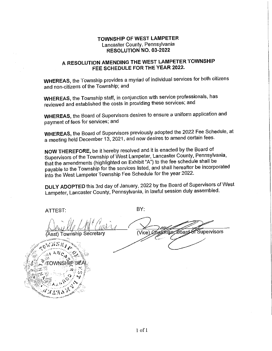#### TOWNSHIP OF WEST LAMPETER Lancaster County, Pennsylvania RESOLUTION NO. 03-2022

# A RESOLUTION AMENDING THE WEST LAMPETER TOWNSHIP FEE SCHEDULE FOR THE YEAR 2022.

**WHEREAS**, the Township provides a myriad of individual services for both citizens and non-citizens of the Township; and

WHEREAS, the Township staff, in conjunction with service professionals, has reviewed and established the costs in providing these services; and

WHEREAS, the Board of Supervisors desires to ensure a uniform application and payment of fees for services; and

WHEREAS, the Board of Supervisors previously adopted the 2022 Fee Schedule, at a meeting held December 13, 2021, and now desires to amend certain fees.

NOW THEREFORE, be it hereby resolved and it is enacted by the Board of Supervisors of the Township of West Lampeter, Lancaster County, Pennsylvania, that the amendments (highlighted on Exhibit "A") to the fee schedule shall be payable to the Township for the services listed, and shall hereafter be incorporated into the West Lampeter Township Fee Schedule for the year 2022.

DULY ADOPTED this 3rd day of January, 2022 by the Board of Supervisors of West Lampeter, Lancaster County, Pennsylvania, in lawful session duly assembled.

ATTEST:

BY:

Supervisors :Board (Vice) (Asst) Township Secretarv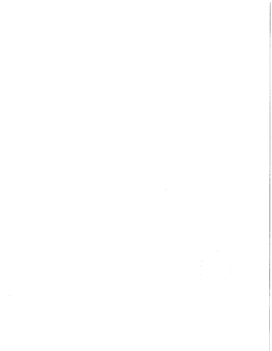$\label{eq:2.1} \frac{1}{\sqrt{2\pi}}\int_{0}^{\infty}\frac{1}{\sqrt{2\pi}}\left(\frac{1}{\sqrt{2\pi}}\right)^{2\alpha} \frac{1}{\sqrt{2\pi}}\left(\frac{1}{\sqrt{2\pi}}\right)^{\alpha} \frac{1}{\sqrt{2\pi}}\left(\frac{1}{\sqrt{2\pi}}\right)^{\alpha} \frac{1}{\sqrt{2\pi}}\left(\frac{1}{\sqrt{2\pi}}\right)^{\alpha} \frac{1}{\sqrt{2\pi}}\left(\frac{1}{\sqrt{2\pi}}\right)^{\alpha} \frac{1}{\sqrt{2\pi}}\left(\frac{1}{\sqrt{2\pi}}\right$ 

 $\label{eq:2.1} \frac{1}{\sqrt{2\pi}}\left(\frac{1}{\sqrt{2\pi}}\right)^{2} \frac{1}{\sqrt{2\pi}}\left(\frac{1}{\sqrt{2\pi}}\right)^{2} \frac{1}{\sqrt{2\pi}}\left(\frac{1}{\sqrt{2\pi}}\right)^{2} \frac{1}{\sqrt{2\pi}}\left(\frac{1}{\sqrt{2\pi}}\right)^{2} \frac{1}{\sqrt{2\pi}}\left(\frac{1}{\sqrt{2\pi}}\right)^{2} \frac{1}{\sqrt{2\pi}}\left(\frac{1}{\sqrt{2\pi}}\right)^{2} \frac{1}{\sqrt{2\pi}}\left(\frac{1}{$ 

 $\label{eq:2.1} \frac{1}{\sqrt{2\pi}}\int_{0}^{\infty}\frac{1}{\sqrt{2\pi}}\left(\frac{1}{\sqrt{2\pi}}\right)^{2\alpha} \frac{1}{\sqrt{2\pi}}\int_{0}^{\infty}\frac{1}{\sqrt{2\pi}}\frac{1}{\sqrt{2\pi}}\frac{1}{\sqrt{2\pi}}\frac{1}{\sqrt{2\pi}}\frac{1}{\sqrt{2\pi}}\frac{1}{\sqrt{2\pi}}\frac{1}{\sqrt{2\pi}}\frac{1}{\sqrt{2\pi}}\frac{1}{\sqrt{2\pi}}\frac{1}{\sqrt{2\pi}}\frac{1}{\sqrt{2\pi}}\frac{$ 

 $\mathcal{L}^{\pm}$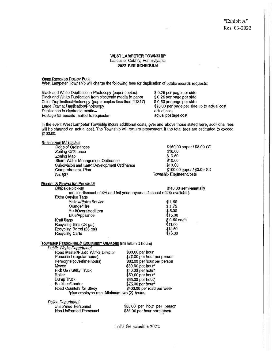#### WEST LAMPETER TOWNSHIP tancasler County, Pennsylvania 2022 FEE SCHEDULE

**OPEN RECORDS POLICY FEES** West Lampeter Township will charge the following fees for duplication of public records requests:

Black and White Duplication / Photocopy (paper copies) Black and White Duplication from electronic media to paper Color Duplication/Photocopy (paper copies less than 11X17) Large l"ormat Duplication/Photocopy Duplication to electronic media-Postage for records malled to requester actual postage cost

\$ 0.25 per page per side \$. 0.26 per page per side \$ 0.50 per page per side \$10,00 per page per side up to actual cost actual cost

In the event West Lampeter Township incurs additional costs, over and above those stated here, additional fees will be charged on actual cost. The Township will require prepayment if the total fees are estimated to exceed \$100.00.

| <b>REFERENCE MATERIALS</b>                               |                                                                        |
|----------------------------------------------------------|------------------------------------------------------------------------|
| Code of Ordinances                                       | \$150,00 paper / \$3.00 CD                                             |
| Zoning Ordinance                                         | \$16.00                                                                |
| Zoning Map                                               | \$6.60                                                                 |
| Stom Water Management Ordinance                          | \$10,00                                                                |
| Subdivision and Land Development Ordinance               | \$10,00                                                                |
| Comprehensive Plan                                       | \$100.00 paper / \$3.00 CD                                             |
| Act 537                                                  | <b>Township Engineer:Costs</b>                                         |
| <u>REFUSE &amp; RECYCLING PROGRAM</u>                    |                                                                        |
| Curbside plck-up                                         | \$140.00 seml-annually                                                 |
|                                                          | (senior discount of 4% and full-year payment discount of 2% available) |
| <b>Extra Service Tags</b>                                |                                                                        |
| <b>Yellow/Extra Service</b>                              | \$1.60                                                                 |
| Orange/Tire                                              | \$1.75                                                                 |
| Red/Oversized Item                                       | \$5.00                                                                 |
| <b>Blue/Appliance</b>                                    | \$15,00                                                                |
| Kraft Bags                                               | $$0.60$ each                                                           |
| Recycling Bins (24 gal)                                  | \$11.00                                                                |
| Recycling Barrel (25 gal)                                | \$12,50                                                                |
| Recycling Carts                                          | \$75,00                                                                |
| TOWNSHIP PERSONNEL & EQUIPMENT CHARGES (minimum 2 hours) |                                                                        |
| <b>Public Works Department</b>                           |                                                                        |
| Road Master/Public Works Director                        | $$60.00$ per hour                                                      |
| Personnel (regular hours)                                | \$47.00 per hour per person                                            |
| Personnel (overtime hours)                               | \$62.00 per hour per person                                            |
| Mower                                                    | \$30.00 per hour*                                                      |
| Pick Up / Utility Truck                                  | \$40,00 per hour*                                                      |
| Roller                                                   | \$60.00 per hour*                                                      |
| Dump Truck                                               | \$65.00 per hour.*                                                     |
| BackhoelLoader                                           | \$75.00 per hour*                                                      |
| Road Counters for Study                                  | \$400.00 per road per week                                             |
| *plus employee rate. Minimum two (2) hours,              |                                                                        |
| Police Department                                        |                                                                        |
| Uniformed Personnel                                      | \$85.00 per hour per person                                            |
| Non-Uniformed Personnel                                  | \$36.00 per hour per person                                            |
|                                                          |                                                                        |

l of 5 fee schedule 2022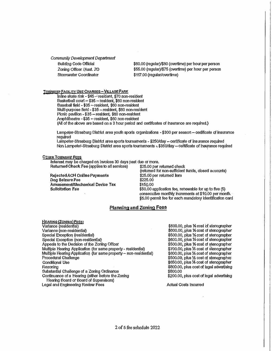*Community Development Department*  Building Code Official Zoning Officer / Asst. 20 Stormwater Coordinator

\$60.00 (regular)/\$80 (overtime) per hour per person \$55.00 (regular)/\$75 (overtime) per hour per person \$117.00 (regular/overtime)

**PownsHIP FACILITY USE CHARGES-VILLAGE PARK** in line skate rink – \$45 -- resident, \$70 non-resident Basketball court  $-$  \$35  $-$  resident, \$60 non-resident Baseball field - \$35 -- resident, \$60 non-resident Multi-purpose field. \$35-resident, \$60 non-resident Picnic pavillon - \$35 - resident, \$60 non-resident Amphltheatre -\$35 - resident, \$60 non-resident (All of the above are based on a 3 hour period and certlfloates of Insurance are required.)

Lampeter-Strasburg District area youth sports organizations - \$300 per season - certificate of insurance regulred

Lampeter-Strasburg Pistrlct area sports tournaments - \$250/day- certificate of Insurance required Non Lampeter-Strasburg District area sports tournaments , \$350/day-cerlificate *of* lns�rance required

#### **OTHER TOWNSHIP FEES**

Interest may be charged on invoices 30 days past due or more.<br>Returned Check Fee (applies to all services) \$25,00 per returned check Returned Check Fee (applies to all services)

**Rejected ACH Online Payments Dog Seizure** Fee **Amusement/Mechanical Device** Tax **Solloitatlon Fee** 

(returned **for** non-sufficient funds, closed accounts) \$25.00 per returned Item \$225.00 \$15Q.00 \$50.00 application fee, renewable for up to five (5) consecutive monthly Increments at \$10,00 per month. \$5.00 permit fee for each mandatory Identification card

#### **Planning and Zoning Fees**

#### **HEARING (ZONING) FEES:**

Variance (residential) Variance (non-residential) Special Exception (residential) Special Exception (non-residential) Appeals to the Decision of the Zoning Officer Multiple Hearing Application (for same property- resldenlial) Multiple Hearing Application (for same property - non-residential) Procedural Challenge Gonditional Use Rezoning Substantial Challenge of a Zoning Ordinance Continuance of a Hearing (either before the Zoning Hearing Board or Board of Supervisors) Legal and Engineering Review Fees

\$500.00, plus ½ cost ot stenographer \$600,00, plus½ cost of stenographer \$500,00, plus ½ cost of stenographer \$600.00, plus ½ cost of stenographer \$500.00, plus ½ cost of stenographer \$700.00, plus ½ cost of stenographer \$800.00, plus½ cost of stenograpfier \$500,00, plus ½ cost of stenographer \$650.00, plus½ cost of stenographer \$800.00, plus cost of legal advertising \$800,00

\$200.00, plus cost of legal advertising

Actual Costs Incurred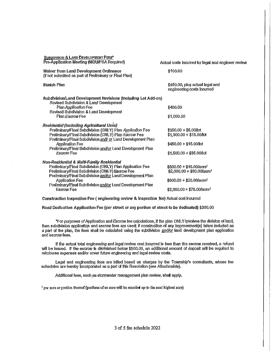| <b>SUBDIVISION &amp; LAND DEVELOPMENT FEES*</b><br>Pre-Application Meeting (MOUPSA Required)                                                                                     | Actual costs incurred for legal and engineer review           |
|----------------------------------------------------------------------------------------------------------------------------------------------------------------------------------|---------------------------------------------------------------|
| <b>Walver from Land Development Ordinance</b><br>(If not submitted as part of Preliminary or Final Plan)                                                                         | \$100.00                                                      |
| <b>Sketch Plan</b>                                                                                                                                                               | \$450.00, plus actual legal and<br>engineering costs incurred |
| Subdivision/Land Development Revisions (including Lot Add-on)<br>Revised Subdivision & Land Development                                                                          |                                                               |
| Plan Application Fee<br>Revised Subdivision & Land Development                                                                                                                   | \$450.00                                                      |
| Plan <i>Escrow</i> Fee                                                                                                                                                           | \$1,000.00                                                    |
| Residential (including Agricultural Uses)                                                                                                                                        |                                                               |
| Preliminary/Final Subdivision (ONLY) Plan Application Fee<br>Preliminary/Final Subdivision (ONLY) Plan Escrow Fee<br>Preliminary/Final Subdivision and/ or Land Development Plan | $$350,00 + $5,00$ //ot<br>$$1,000,00 + $15.00/$ lot           |
| <b>Application Fee</b><br>Preliminary/Final Subdivision and/or Land Development Plan                                                                                             | \$450.00 + \$15.00/lot                                        |
| Escrow Fee                                                                                                                                                                       | $$1,500.00 + $35.00/$ ot                                      |
| Non-Residential & Multi-Family Residential                                                                                                                                       |                                                               |
| Preliminary/Final Subdivision (ONLY) Plan Application Fee<br>Preliminary/Final Subdivision (ONLY) Escrow Fee<br>Preliminary/Final Subdivision and/or Land Development Plan       | $$500.00 + $15.00/accre1$<br>$$2,000,00+$50,00/accrel$        |
| <b>Application Fee</b><br>Preliminary/Final Subdivision and/or Land Development Plan                                                                                             | $$500.00 + $20.00/ \text{a}$ cre <sup>1</sup>                 |
| Escrow Fee                                                                                                                                                                       | $$2,000.00 + $75.00/ \text{acre}^1$                           |

Construction Inspection Fee (engineering review & inspection fee) Actual cost incurred

Road Dedication Application Fee (per street or any portion of street to be dedicated) \$300.00

\*For purposes of Application and Escrow fee calculations, if the plan ONLY involves the division of land, then subdivision application and escrow fees are used; if construction of any improvement(s) is/are included as a part of the plan, the fees shall be calculated using the subdivision and/or land development plan application and escrow fees.

If the actual total engineering and legal review cost incurred is less than the escrow received, a refund will be issued. If the escrow is diminished below \$500,00, an additional amount of deposit will be required to reimburse expenses and/or cover future engineering and legal review costs,

Legal and engineering fees are billed based on charges by the Township's consultants, whose fee schedules are hereby incorporated as a part of this Resolution (see Attachments).

Additional fees, such as stormwater management plan review, shall apply.

 $\frac{1}{2}$  per acre or portion thereof (portions of an acre will be rounded up to the next highest acre)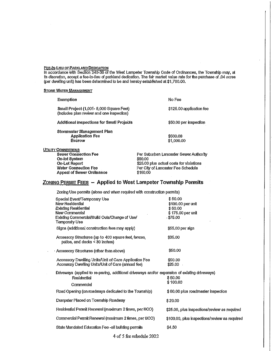FEE-IN-LIEU OF PARKLAND DEDICATION<br>In accordance with Section 240-36 of the West Lampeter Township Code of Ordinances, the Township may, at its discretion, accept a fee-in-lieu of parkland dedication. The fair market value rate for the purchase of 04 acres (per dwelling unit) has been determined to be and hereby established at \$1,700.00.

#### **STORM WATER MANAGEMENT**

| Exemption                                                                            | No Fee                                           |
|--------------------------------------------------------------------------------------|--------------------------------------------------|
| Small Project (1,001-5,000 Square Feet)<br>(Includes plan review and one inspection) | \$125.00 application fee                         |
| <b>Additional Inspections for Small Projects</b>                                     | \$50.00 per inspection                           |
| Stormwater Management Plan<br><b>Application Fee</b><br><b>Escrow</b>                | \$500,00<br>\$1,000.00                           |
| <b>CONNECTIONS</b><br><b>Sewer Connection Fee</b><br><b>On-Inf System</b>            | Per Suburban Lancaster Sewer Authority<br>ደባህ ሀሀ |

UTILITY

∪n**⊣o**t System **On-Lot Report** Water Connection Fee **Appeal of Sewer Ordinance** 

\$25.00 plus actual costs for violations Per City of Lancaster Fee Schedule \$150,00

### ZONING PERMIT FEES - Applied to West Lampeter Township Permits

| Zoning Use permits (alone and when required with construction permits)                                                                                                          |                                                                         |
|---------------------------------------------------------------------------------------------------------------------------------------------------------------------------------|-------------------------------------------------------------------------|
| Special Event/Temporary Use<br><b>New Residential</b><br><b>Existing Residential</b><br>New Commercial<br>Existing Commercial/Build Outs/Change of Use/<br><b>Temporary Use</b> | \$60.00<br>\$100.00 per unit<br>\$60.00<br>\$175.00 per unit<br>.375.00 |
| Signs (additional construction fees may apply)                                                                                                                                  | \$55,00 per sign                                                        |
| Accessory Structures (up to 400 square feet, fences,<br>patios, and decks < 30 inches)                                                                                          | \$35.00                                                                 |
| · Accessory Structures (other than above)                                                                                                                                       | \$50.00                                                                 |
| Accessory Dwelling Units/Unit of Care Application Fee<br>Accessory Dwelling Units/Unit of Care (annual fee)                                                                     | \$50.00<br>\$26.00                                                      |
| Driveways (applied to re-paving, additional driveways and/or expansion of existing driveways)                                                                                   |                                                                         |
| Residential<br>Commercial                                                                                                                                                       | \$60.00<br>\$100.00                                                     |
| Road Opening (on roadways dedicated to the Township)                                                                                                                            | \$60,00 plus roadmaster inspection                                      |
| Dumpster Placed on Township Roadway                                                                                                                                             | \$20.00                                                                 |
| Residential Permit Renewal (maximum 2 times, per BCO)                                                                                                                           | \$25.00, plus inspections/review as required                            |
| Commercial Permit Renewal (maximum 2 times, per BCO)                                                                                                                            | \$100,00, plus inspections/review as required                           |
| State Mandated Education Fee -all building permits                                                                                                                              | \$4.50                                                                  |
|                                                                                                                                                                                 |                                                                         |

4 of 5 fee schedule 2022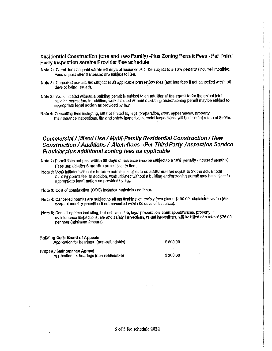#### Residential Construction (One and Two Family) -Plus Zoning Permit Fees - Per Third Party inspection service Provider Fee schedule

- Note 1: Permit fees not paid within 90 days of issuance shall be subject to a 10% penalty (incurred monthly). Fees unpaid after 6 months are subject to Ilen.
- Note 2: Cancelled permits are subject to all applicable plan review fees (and late fees if not cancelled within 90 days of being issued).
- Note 3: Work initiated without a building permit is subject to an additional fee equal to 2x the actual total building permit fee, in addition, work initiated without a building and/or zoning permit may be subject to appropriate legal action as provided by law.
- Note 4: Consulting time including, but not limited to, legal preparation, court appearances, property maintenance inspections. Iffe and safety inspections, rental inspections, will be billed at a rate of \$60/hr,

### Commercial / Mixed Use / Multi-Family Residential Construction / New Construction / Additions / Alterations -- Per Third Party / nspection Service Provider plus additional zoning fees as applicable

- Note 1: Perm) fees not paid within 90 days of issuance shall be subject to a 10% penalty (incurred monthly). Fees unpaid after 6 months are subject to lien,
- Note 2: Work initiated without a building permit is subject to an additional fee equal to 2x the actual total building permit fee. In addition, work initiated without a building and/or zoning permit may be subject to appropriate legal action as provided by law.
- Note 3: Cost of construction (COC) includes materials and labor.
- Note 4: Cancelled permits are subject to all appticable plan review fees plus a \$100.00 administrative fee (and accruse monthly penalties if not cancelled within 90 days of issuance).
- Note 5: Consulting time including, but not limited to, legal preparation, court appearances, property maintenance inspections, life and safety inspections, rental inspections, will be billed at a rate of \$75.00 per hour (minimum 2 hours).

| Building Code Board of Appeals<br>Application for hearings (non-refundable)     | \$600.00 |
|---------------------------------------------------------------------------------|----------|
| <b>Property Maintenance Appeal</b><br>Application for hearings (non-refundable) | \$200.00 |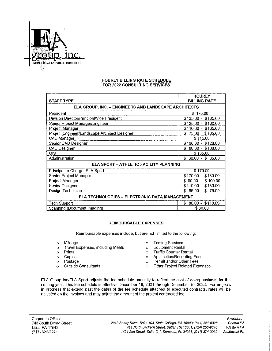

#### **HOURLY BILLING RATE SCHEDULE** FOR 2022 CONSULTING SERVICES

|                                               | <b>HOURLY</b>                                        |  |  |
|-----------------------------------------------|------------------------------------------------------|--|--|
| <b>STAFF TYPE</b>                             | <b>BILLING RATE</b>                                  |  |  |
|                                               | ELA GROUP, INC. - ENGINEERS AND LANDSCAPE ARCHITECTS |  |  |
| President                                     | \$175.00                                             |  |  |
| Division Director/Principal/Vice President    | $$135.00 - $185.00$                                  |  |  |
| Senior Project Manager/Engineer               | $$125.00 - $160.00$                                  |  |  |
| Project Manager                               | $$110.00 - $135.00$                                  |  |  |
| Project Engineer/Landscape Architect Designer | $$75.00 - $135.00$                                   |  |  |
| CAD Manager                                   | \$115.00                                             |  |  |
| Senior CAD Designer                           | $$100.00 - $120.00$                                  |  |  |
| <b>CAD Designer</b>                           | $80.00 - $100.00$<br>\$                              |  |  |
| <b>GIS</b>                                    | \$135.00                                             |  |  |
| Administration                                | $$60.00 - $85.00$                                    |  |  |
| ELA SPORT - ATHLETIC FACILITY PLANNING        |                                                      |  |  |
| Principal-In-Charge: ELA Sport                | \$170.00                                             |  |  |
| Senior Project Manager                        | $$170.00 - $180.00$                                  |  |  |
| Project Manager                               | $$90.00 - $100.00$                                   |  |  |
| Senior Designer                               | $$110.00 - $130.00$                                  |  |  |
| Design Technician                             | $$65.00 - $75.00$                                    |  |  |
| ELA TECHNOLOGIES - ELECTRONIC DATA MANAGEMENT |                                                      |  |  |
| <b>Tech Support</b>                           | $$80.00 - $110.00$                                   |  |  |
| Scanning (Document Imaging)                   | \$60.00                                              |  |  |

#### **REIMBURSABLE EXPENSES**

Reimbursable expenses include, but are not limited to the following:

- Mileage  $\mathbf O$
- **Travel Expenses, including Meals**  $\circ$
- Prints  $\mathbf{o}$
- Copies  $\circ$
- Postage  $\circ$
- **Outside Consultants**  $\circ$
- **Testing Services**  $\Omega$
- **Equipment Rental**  $\circ$
- **Traffic Counter Rental**  $\circ$
- Application/Recording Fees  $\mathsf{o}$
- Permit and/or Other Fees  $\mathbf{o}$
- Other Project Related Expenses  $\mathsf{o}$

ELA Group Inc/ELA Sport adjusts the fee schedule annually to reflect the cost of doing business for the coming year. This fee schedule is effective December 19, 2021 through December 16, 2022. For projects in progress that extend past the dates of the fee schedule attached to executed contracts, rates will be adjusted on the invoices and may adjust the amount of the project contracted fee.

2013 Sandy Drive, Suite 103, State College, PA 16803; (814) 861-6328 414 North Jackson Street, Butler, PA 16001; (724) 256-9646 1491 2nd Street, Suite C-1, Sarasota, FL 34236; (941) 374-3930

Branches: Central PA Western PA Southwest FL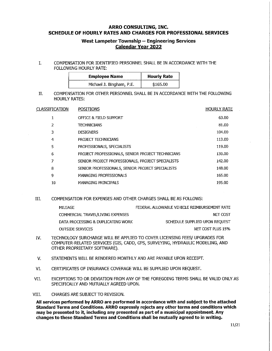#### ARRO CONSULTING, INC. SCHEDULE OF HOURLY RATES AND CHARGES FOR PROFESSIONAL SERVICES

#### West Lampeter Township  $-$  Engineering Services **Calendar Year 2022**

COMPENSATION FOR IDENTIFIED PERSONNEL SHALL BE IN ACCORDANCE WITH THE L. FOLLOWING HOURLY RATE:

| <b>Employee Name</b>     | <b>Hourly Rate</b> |
|--------------------------|--------------------|
| Michael J. Bingham, P.E. | \$165.00           |

II. COMPENSATION FOR OTHER PERSONNEL SHALL BE IN ACCORDANCE WITH THE FOLLOWING HOURLY RATES:

| <b>CLASSIFICATION</b> | <b>POSITIONS</b>                                  | <b>HOURLY RATE</b> |
|-----------------------|---------------------------------------------------|--------------------|
|                       | <b>OFFICE &amp; FIELD SUPPORT</b>                 | 63.00              |
| 2                     | <b>TECHNICIANS</b>                                | 81.00              |
| 3                     | <b>DESIGNERS</b>                                  | 104.00             |
| 4                     | PROJECT TECHNICIANS                               | 113.00             |
| 5                     | PROFESSIONALS, SPECIALISTS                        | 119.00             |
| 6                     | PROJECT PROFESSIONALS, SENIOR PROJECT TECHNICIANS | 130.00             |
| 7                     | SENIOR PROJECT PROFESSIONALS, PROJECT SPECIALISTS | 142.00             |
| 8                     | SENIOR PROFESSIONALS, SENIOR PROJECT SPECIALISTS  | 148.00             |
| 9                     | MANAGING PROFESSIONALS                            | 165.00             |
| 10                    | <b>MANAGING PRINCIPALS</b>                        | 195.00             |
|                       |                                                   |                    |

III. COMPENSATION FOR EXPENSES AND OTHER CHARGES SHALL BE AS FOLLOWS:

| MILEAGE                            | FEDERAL ALLOWABLE VEHICLE REIMBURSEMENT RATE |
|------------------------------------|----------------------------------------------|
| COMMERCIAL TRAVEL/LIVING EXPENSES  | NET COST                                     |
| DATA PROCESSING & DUPLICATING WORK | SCHEDULE SUPPLIED UPON REQUEST               |
| OUTSIDE SERVICES                   | NET COST PLUS 15%                            |

- TECHNOLOGY SURCHARGE WILL BE APPLIED TO COVER LICENSING FEES/ UPGRADES FOR IV. COMPUTER-RELATED SERVICES (GIS, CADD, GPS, SURVEYING, HYDRAULIC MODELING, AND OTHER PROPRIETARY SOFTWARE).
- V. STATEMENTS WILL BE RENDERED MONTHLY AND ARE PAYABLE UPON RECEIPT.
- VI. CERTIFICATES OF INSURANCE COVERAGE WILL BE SUPPLIED UPON REQUEST.
- EXCEPTIONS TO OR DEVIATION FROM ANY OF THE FOREGOING TERMS SHALL BE VALID ONLY AS VII. SPECIFICALLY AND MUTUALLY AGREED UPON.
- VIII. CHARGES ARE SUBJECT TO REVISION.

All services performed by ARRO are performed in accordance with and subject to the attached Standard Terms and Conditions. ARRO expressly rejects any other terms and conditions which may be presented to it, including any presented as part of a municipal appointment. Any changes to these Standard Terms and Conditions shall be mutually agreed to in writing.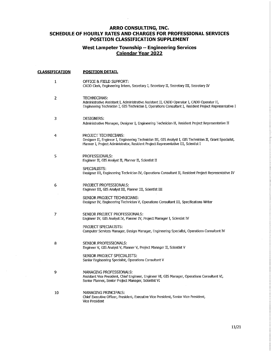#### ARRO CONSULTING, INC. SCHEDULE OF HOURLY RATES AND CHARGES FOR PROFESSIONAL SERVICES POSITION CLASSIFICATION SUPPLEMENT

 $\bar{z}$ 

# West Lampeter Township - Engineering Services<br>Calendar Year 2022

| <b>CLASSIFICATION</b> | <b>POSITION DETAIL</b>                                                                                                                                                                                                 |
|-----------------------|------------------------------------------------------------------------------------------------------------------------------------------------------------------------------------------------------------------------|
| 1                     | OFFICE & FIELD SUPPORT:<br>CADD Clerk, Engineering Intern, Secretary I, Secretary II, Secretary III, Secretary IV                                                                                                      |
| 2                     | TECHNICIANS:<br>Administrative Assistant I, Administrative Assistant II, CADD Operator I, CADD Operator II,<br>Engineering Technician I, GIS Technician I, Operations Consultant I, Resident Project Representative I  |
| 3                     | <b>DESIGNERS:</b><br>Administrative Manager, Designer I, Engineering Technician II, Resident Project Representative II                                                                                                 |
| 4                     | PROJECT TECHNICIANS:<br>Designer II, Engineer I, Engineering Technician III, GIS Analyst I, GIS Technician II, Grant Specialist,<br>Planner I, Project Administrator, Resident Project Representative III, Scientist I |
| 5                     | PROFESSIONALS:<br>Engineer II, GIS Analyst II, Planner II, Scientist II                                                                                                                                                |
|                       | SPECIALISTS:<br>Designer III, Engineering Technician IV, Operations Consultant II, Resident Project Representative IV                                                                                                  |
| 6                     | PROJECT PROFESSIONALS:<br>Engineer III, GIS Analyst III, Planner III, Scientist III                                                                                                                                    |
|                       | SENIOR PROJECT TECHNICIANS:<br>Designer IV, Engineering Technician V, Operations Consultant III, Specifications Writer                                                                                                 |
| 7                     | SENIOR PROJECT PROFESSIONALS:<br>Engineer IV, GIS Analyst IV, Planner IV, Project Manager I, Scientist IV                                                                                                              |
|                       | PROJECT SPECIALISTS:<br>Computer Services Manager, Design Manager, Engineering Specialist, Operations Consultant IV                                                                                                    |
| 8                     | SENIOR PROFESSIONALS:<br>Engineer V, GIS Analyst V, Planner V, Project Manager II, Scientist V                                                                                                                         |
|                       | SENIOR PROJECT SPECIALISTS:<br>Senior Engineering Specialist, Operations Consultant V                                                                                                                                  |
| 9                     | <b>MANAGING PROFESSIONALS:</b><br>Assistant Vice President, Chief Engineer, Engineer VI, GIS Manager, Operations Consultant VI,<br>Senior Planner, Senior Project Manager, Scientist VI                                |
| 10                    | MANAGING PRINCIPALS:<br>Chief Executive Officer, President, Executive Vice President, Senior Vice President,<br>Vice President                                                                                         |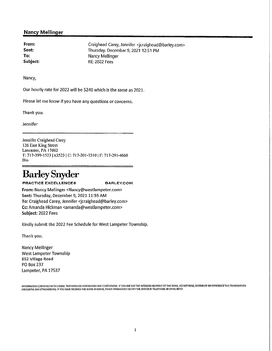#### **Nancy Mellinger**

From: Sent: To: Subject: Craighead Carey, Jennifer <jcraighead@barley.com> Thursday, December 9, 2021 12:51 PM Nancy Mellinger **RE: 2022 Fees** 

Nancy,

Our hourly rate for 2022 will be \$240 which is the same as 2021.

Please let me know if you have any questions or concerns.

Thank you.

Jennifer

Jennifer Craighead Carey 126 East King Street Lancaster, PA 17602 T: 717-399-1523 | x3523 | C: 717-201-7510 | F: 717-291-4660 **Bio** 

# **Barley Snyder**

#### **PRACTICE EXCELLENCE®**

**BARLEY.COM** 

From: Nancy Mellinger <Nancy@westlampeter.com> Sent: Thursday, December 9, 2021 11:55 AM To: Craighead Carey, Jennifer <jcraighead@barley.com> Cc: Amanda Hickman <amanda@westlampeter.com> Subject: 2022 Fees

Kindly submit the 2022 Fee Schedule for West Lampeter Township.

Thank you.

**Nancy Mellinger** West Lampeter Township. 852 Village Road **PO Box 237** Lampeter, PA 17537

INFORMATION CONTAINED IN THIS EMAIL TRANSMISSION IS PRIVILEGED AND CONFIDENTIAL IF YOU ARE NOT THE INTERDED RECIPIENT OF THIS EMAIL, DO NOT READ, DISTRIBUTE OR REPRODUCE THIS TRANSMISSION (HICLUDING ANY ATTACHMENTS). IF YOU HAVE RECEIVED THIS EMAIL IN ERROR, PLEASE IMMEDIATELY NOTIFY THE SENDER BY TELEPHONE OR EMAIL REPLY.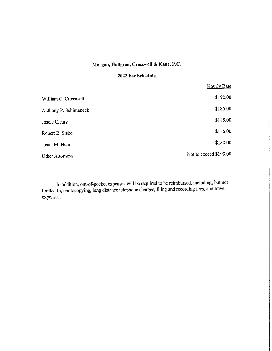# Morgan, Hallgren, Crosswell & Kane, P.C.

# 2022 Fee Schedule

|                       | Hourly Rate            |
|-----------------------|------------------------|
| William C. Crosswell  | \$190.00               |
| Anthony P. Schimaneck | \$185.00               |
| Josele Cleary         | \$185.00               |
| Robert E. Sisko       | \$185,00               |
| Jason M. Hess         | \$180.00               |
| Other Attorneys       | Not to exceed \$190.00 |

In addition, out-of-pocket expenses will be required to be reimbursed, including, but not limited to, photocopying, long distance telephone charges, filing and recording fees, and travel expenses.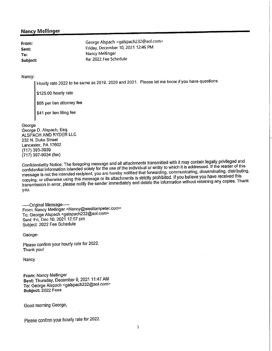#### **Nancy Mellinger**

| From:    | George Alspach <galspach232@aol.com></galspach232@aol.com> |
|----------|------------------------------------------------------------|
| Sent:    | Friday, December 10, 2021 12:46 PM                         |
| To:      | Nancy Mellinger                                            |
| Subject: | Re: 2022 Fee Schedule                                      |

Nancy:

Hourly rate 2022 to be same as 2019, 2020 and 2021. Please let me know if you have questions

\$125.00 hourly rate

\$65 per lien attorney fee

\$41 per lien filing fee

George George D. Alspach, Esq. ALSPACH AND RYDER LLC 232 N. Duke Street Lancaster, PA 17602 (717) 393-3939  $(717)$  397-9034 (fax)

Confidentiality Notice: The foregoing message and all attachments transmitted with it may contain legally privileged and confidential information intended solely for the use of the individual or entity to which it is addressed. If the reader of this message is not the intended recipient, you are hereby notified that forwarding, communicating, disseminating, distributing, copying, or otherwise using this message or its attachments is strictly prohibited. If you believe you have received this transmission in error, please notify the sender immediately and delete the information without retaining any copies. Thank you.

-----Original Message-----From: Nancy Mellinger <Nancy@westlampeter.com> To: George Alspach <galspach232@aol.com> Sent: Fri, Dec 10, 2021 12:07 pm Subject: 2022 Fee Schedule

George-

Please confirm your hourly rate for 2022. Thank you!

Nancy

From: Nancy Mellinger Sent: Thursday, December 9, 2021 11:47 AM To: George Alspach <galspach232@aol.com> Subject: 2022 Fees

Good morning George,

Please confirm your hourly rate for 2022.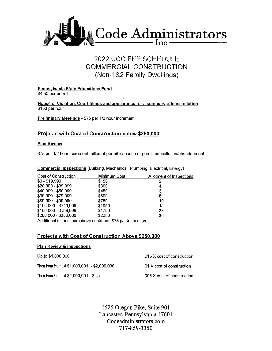

# 2022 UCC FEE SCHEDULE **COMMERCIAL CONSTRUCTION** (Non-1&2 Family Dwellings)

#### Pennsylvania State Educations Fund \$4.50 per permit

Notice of Violation, Court filings and appearance for a summary offense citation \$150 per hour

Preliminary Meetings - \$75 per 1/2 hour increment

#### Projects with Cost of Construction below \$250,000

#### **Plan Review**

\$75 per 1/2 hour increment, billed at permit issuance or permit cancellation/abandonment

| Cost of Construction                                         | Minimum Cost | Allotment of Inspections |
|--------------------------------------------------------------|--------------|--------------------------|
| $$0 - $19,999$                                               | \$150        |                          |
| \$20,000 - \$39,999                                          | \$300        | 4                        |
| \$40,000 - \$59,999                                          | \$450        | 6                        |
| \$60,000 - \$79,999                                          | \$600        | 8                        |
| \$80,000 - \$99.999                                          | \$750        | 10                       |
| $$100,000 - $149,999$                                        | \$1050       | 14                       |
| $$150,000 - $199,999$                                        | \$1750       | 23                       |
| \$200,000 - \$250,000                                        | \$2250       | 30                       |
| Additional inspections above allotment, \$75 per inspection. |              |                          |

**Commercial Inspections (Building, Mechanical, Plumbing, Electrical, Energy)** 

# **Projects with Cost of Construction Above \$250,000**

# **Plan Review & Inspections**

| Up to \$1,000,000                             | .015 X cost of construction. |
|-----------------------------------------------|------------------------------|
| Then from the next \$1,000,001, - \$2,000,000 | .01 X cost of construction   |
| Then from the next $$2,000,001 - $Up$         | .005 X cost of construction  |

1525 Oregon Pike, Suite 901 Lancaster, Pennsylvania 17601 Codeadministrators.com 717-859-3350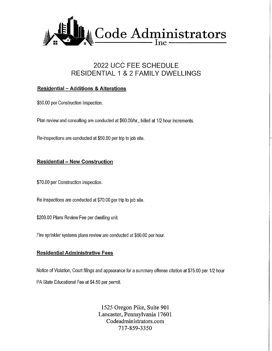

# 2022 UCC FEE SCHEDULE RESIDENTIAL 1 & 2 FAMILY DWELLINGS

#### **Residential - Additions & Alterations**

\$50.00 per Construction Inspection.

Plan review and consulting are conducted at \$60.00/hr., billed at 1/2 hour increments.

Re-inspections are conducted at \$50.00 per trip to job site.

#### **Residential - New Construction**

\$70.00 per Construction Inspection.

Re-inspections are conducted at \$70.00 per trip to job site.

\$200.00 Plans Review Fee per dwelling unit.

Fire sprinkler systems plans review are conducted at \$60.00 per hour.

### **Residential Administrative Fees**

Notice of Violation, Court filings and appearance for a summary offense citation at \$75.00 per 1/2 hour PA State Educational Fee at \$4.50 per permit.

> 1525 Oregon Pike, Suite 901 Lancaster, Pennsylvania 17601 Codeadministrators.com 717-859-3350